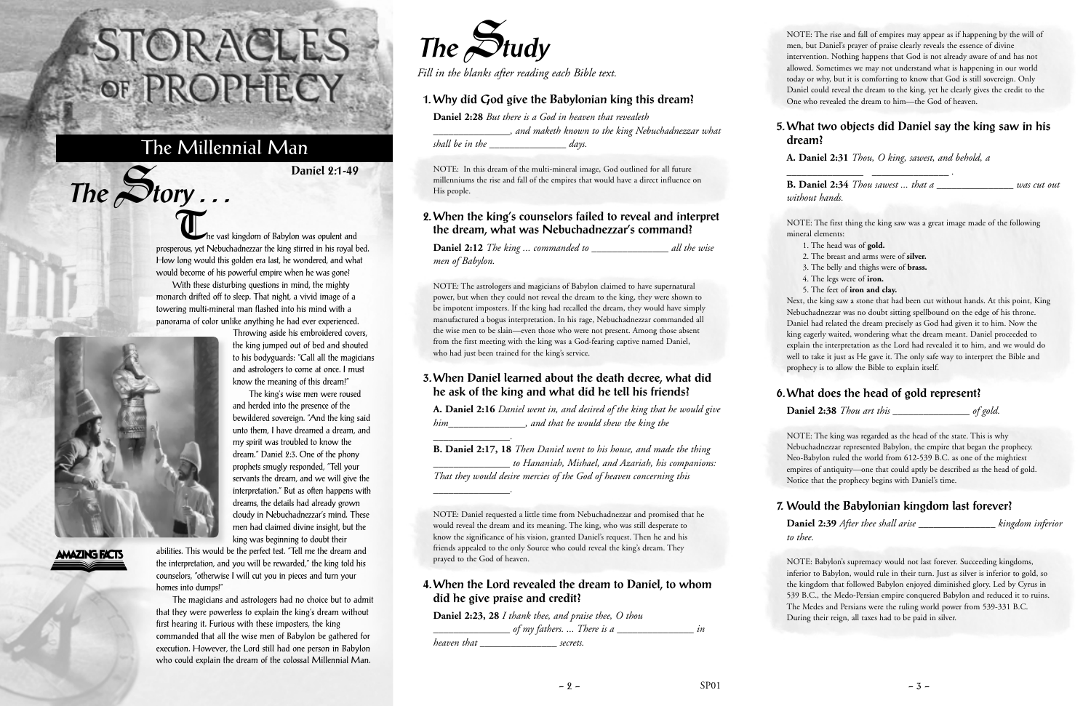he vast kingdom of Babylon was opulent and prosperous, yet Nebuchadnezzar the king stirred in his royal bed. How long would this golden era last, he wondered, and what would become of his powerful empire when he was gone?

With these disturbing questions in mind, the mighty monarch drifted off to sleep. That night, a vivid image of a towering multi-mineral man flashed into his mind with a panorama of color unlike anything he had ever experienced.

The king's wise men were roused



 $The$  $S$ **tory** ...

#### **AMAZING FACTS**

abilities. This would be the perfect test. "Tell me the dream and the interpretation, and you will be rewarded," the king told his counselors, "otherwise I will cut you in pieces and turn your homes into dumps!"

The magicians and astrologers had no choice but to admit that they were powerless to explain the king's dream without first hearing it. Furious with these imposters, the king commanded that all the wise men of Babylon be gathered for execution. However, the Lord still had one person in Babylon who could explain the dream of the colossal Millennial Man.

# STORACLES-OF PROPHECY

## The Millennial Man

**Daniel 2:1-49**



*Fill in the blanks after reading each Bible text.*

#### **1. Why did God give the Babylonian king this dream?**

**Daniel 2:28** *But there is a God in heaven that revealeth \_\_\_\_\_\_\_\_\_\_\_\_\_\_\_, and maketh known to the king Nebuchadnezzar what shall be in the \_\_\_\_\_\_\_\_\_\_\_\_\_\_\_ days.*

NOTE: In this dream of the multi-mineral image, God outlined for all future millenniums the rise and fall of the empires that would have a direct influence on His people.

#### **2. When the king's counselors failed to reveal and interpret the dream, what was Nebuchadnezzar's command?**

**Daniel 2:12** *The king ... commanded to \_\_\_\_\_\_\_\_\_\_\_\_\_\_\_ all the wise men of Babylon.*

NOTE: The astrologers and magicians of Babylon claimed to have supernatural power, but when they could not reveal the dream to the king, they were shown to be impotent imposters. If the king had recalled the dream, they would have simply manufactured a bogus interpretation. In his rage, Nebuchadnezzar commanded all the wise men to be slain—even those who were not present. Among those absent from the first meeting with the king was a God-fearing captive named Daniel, who had just been trained for the king's service.

#### **3. When Daniel learned about the death decree, what did he ask of the king and what did he tell his friends?**

**A. Daniel 2:16** *Daniel went in, and desired of the king that he would give him\_\_\_\_\_\_\_\_\_\_\_\_\_\_\_, and that he would shew the king the*

*\_\_\_\_\_\_\_\_\_\_\_\_\_\_\_.*

**B. Daniel 2:17, 18** *Then Daniel went to his house, and made the thing \_\_\_\_\_\_\_\_\_\_\_\_\_\_\_ to Hananiah, Mishael, and Azariah, his companions: That they would desire mercies of the God of heaven concerning this*

*\_\_\_\_\_\_\_\_\_\_\_\_\_\_\_.*

NOTE: Daniel requested a little time from Nebuchadnezzar and promised that he would reveal the dream and its meaning. The king, who was still desperate to know the significance of his vision, granted Daniel's request. Then he and his friends appealed to the only Source who could reveal the king's dream. They prayed to the God of heaven.

#### **4. When the Lord revealed the dream to Daniel, to whom did he give praise and credit?**

**Daniel 2:23, 28** *I thank thee, and praise thee, O thou \_\_\_\_\_\_\_\_\_\_\_\_\_\_\_ of my fathers. ... There is a \_\_\_\_\_\_\_\_\_\_\_\_\_\_\_ in heaven that \_\_\_\_\_\_\_\_\_\_\_\_\_\_\_ secrets.*

NOTE: The rise and fall of empires may appear as if happening by the will of men, but Daniel's prayer of praise clearly reveals the essence of divine intervention. Nothing happens that God is not already aware of and has not allowed. Sometimes we may not understand what is happening in our world today or why, but it is comforting to know that God is still sovereign. Only Daniel could reveal the dream to the king, yet he clearly gives the credit to the One who revealed the dream to him—the God of heaven.

#### **5. What two objects did Daniel say the king saw in his dream?**

**A. Daniel 2:31** *Thou, O king, sawest, and behold, a*

*\_\_\_\_\_\_\_\_\_\_\_\_\_\_\_ \_\_\_\_\_\_\_\_\_\_\_\_\_\_\_ .*

**B. Daniel 2:34** *Thou sawest ... that a \_\_\_\_\_\_\_\_\_\_\_\_\_\_\_ was cut out without hands.*

NOTE: The first thing the king saw was a great image made of the following mineral elements:

- 1. The head was of **gold.**
- 2. The breast and arms were of **silver.**
- 3. The belly and thighs were of **brass.**
- 4. The legs were of **iron.**
- 5. The feet of **iron and clay.**

Next, the king saw a stone that had been cut without hands. At this point, King Nebuchadnezzar was no doubt sitting spellbound on the edge of his throne. Daniel had related the dream precisely as God had given it to him. Now the king eagerly waited, wondering what the dream meant. Daniel proceeded to explain the interpretation as the Lord had revealed it to him, and we would do well to take it just as He gave it. The only safe way to interpret the Bible and prophecy is to allow the Bible to explain itself.

#### **6. What does the head of gold represent?**

**Daniel 2:38** *Thou art this \_\_\_\_\_\_\_\_\_\_\_\_\_\_\_ of gold.*

NOTE: The king was regarded as the head of the state. This is why Nebuchadnezzar represented Babylon, the empire that began the prophecy. Neo-Babylon ruled the world from 612-539 B.C. as one of the mightiest empires of antiquity—one that could aptly be described as the head of gold. Notice that the prophecy begins with Daniel's time.

### **7. Would the Babylonian kingdom last forever?**

**Daniel 2:39** *After thee shall arise \_\_\_\_\_\_\_\_\_\_\_\_\_\_\_ kingdom inferior to thee.*

NOTE: Babylon's supremacy would not last forever. Succeeding kingdoms, inferior to Babylon, would rule in their turn. Just as silver is inferior to gold, so the kingdom that followed Babylon enjoyed diminished glory. Led by Cyrus in 539 B.C., the Medo-Persian empire conquered Babylon and reduced it to ruins. The Medes and Persians were the ruling world power from 539-331 B.C. During their reign, all taxes had to be paid in silver.